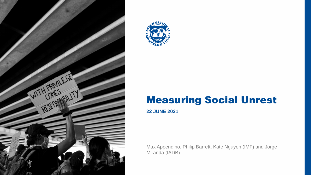



### Measuring Social Unrest

# **22 JUNE 2021**

Max Appendino, Philip Barrett, Kate Nguyen (IMF) and Jorge Miranda (IADB)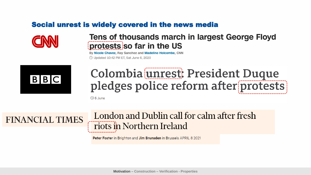#### Social unrest is widely covered in the news media



#### **Tens of thousands march in largest George Floyd** protests so far in the US

IMF | Middle East and Central Asia Department <sup>2</sup> **Motivation – Construction – Verification - Properties**

By Nicole Chavez, Ray Sanchez and Madeline Holcombe, CNN 10:42 PM ET, Sat June 6, 2020



# Colombia unrest: President Duque pledges police reform after protests

 $\circledcirc$  6 June

# **FINANCIAL TIMES**

## London and Dublin call for calm after fresh riots in Northern Ireland

Peter Foster in Brighton and Jim Brunsden in Brussels APRIL 8 2021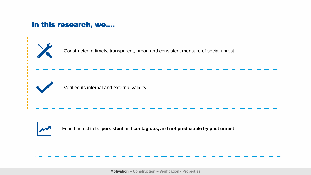#### In this research, we….

Found unrest to be **persistent** and **contagious,** and **not predictable by past unrest**

IMF | Middle East and Central Asia Department <sup>3</sup> **Motivation – Construction – Verification - Properties**



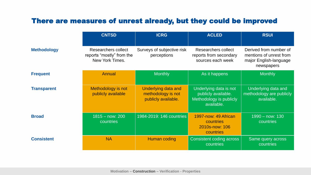#### There are measures of unrest already, but they could be improved

|                    | <b>CNTSD</b>                                                               | <b>ICRG</b>                                                             | <b>ACLED</b>                                                                           | <b>RSUI</b>                                                                               |
|--------------------|----------------------------------------------------------------------------|-------------------------------------------------------------------------|----------------------------------------------------------------------------------------|-------------------------------------------------------------------------------------------|
| <b>Methodology</b> | <b>Researchers collect</b><br>reports "mostly" from the<br>New York Times. | Surveys of subjective risk<br>perceptions                               | Researchers collect<br>reports from secondary<br>sources each week                     | Derived from number of<br>mentions of unrest from<br>major English-language<br>newspapers |
| <b>Frequent</b>    | Annual                                                                     | <b>Monthly</b>                                                          | As it happens                                                                          | <b>Monthly</b>                                                                            |
| <b>Transparent</b> | Methodology is not<br>publicly available                                   | <b>Underlying data and</b><br>methodology is not<br>publicly available. | Underlying data is not<br>publicly available.<br>Methodology is publicly<br>available. | Underlying data and<br>methodology are publicly<br>available.                             |
| <b>Broad</b>       | $1815 - now: 200$<br><b>countries</b>                                      | 1984-2019: 146 countries                                                | 1997-now: 49 African<br><b>countries</b><br>2010s-now: 106<br>countries                | 1990 – now: 130<br><b>countries</b>                                                       |
| <b>Consistent</b>  | <b>NA</b>                                                                  | Human coding                                                            | Consistent coding across<br>countries                                                  | Same query across<br><b>countries</b>                                                     |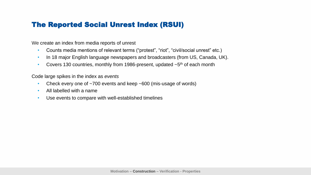#### The Reported Social Unrest Index (RSUI)

- Counts media mentions of relevant terms ("protest", "riot", "civil/social unrest" etc.)
- In 18 major English language newspapers and broadcasters (from US, Canada, UK).
- Covers 130 countries, monthly from 1986-present, updated  $\sim$  5<sup>th</sup> of each month

We create an index from media reports of unrest

- Check every one of ~700 events and keep ~600 (mis-usage of words)
- All labelled with a name
- Use events to compare with well-established timelines

Code large spikes in the index as *events*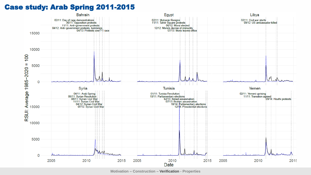#### Case study: Arab Spring 2011-2015



IMF | Middle East and Central Asia Department <sup>6</sup> **Motivation – Construction – Verification - Properties**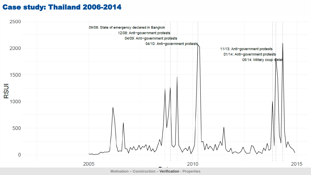#### Case study: Thailand 2006-2014



IMF | Middle East and Central Asia Department <sup>7</sup> **Motivation – Construction – Verification - Properties**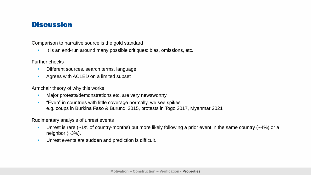#### **Discussion**

Comparison to narrative source is the gold standard

It is an end-run around many possible critiques: bias, omissions, etc.

Further checks

- Different sources, search terms, language
- Agrees with ACLED on a limited subset

Armchair theory of why this works

- Unrest is rare (~1% of country-months) but more likely following a prior event in the same country (~4%) or a neighbor (~3%).
- Unrest events are sudden and prediction is difficult.

- Major protests/demonstrations etc. are very newsworthy
- "Even" in countries with little coverage normally, we see spikes e.g. coups in Burkina Faso & Burundi 2015, protests in Togo 2017, Myanmar 2021

Rudimentary analysis of unrest events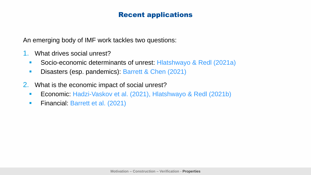#### Recent applications

- 1. What drives social unrest?
	- Socio-economic determinants of unrest: Hlatshwayo & Redl (2021a)
	- Disasters (esp. pandemics): Barrett & Chen (2021)
- 2. What is the economic impact of social unrest?
	- Economic: Hadzi-Vaskov et al. (2021), Hlatshwayo & Redl (2021b)
	- **Financial: Barrett et al. (2021)**

An emerging body of IMF work tackles two questions: